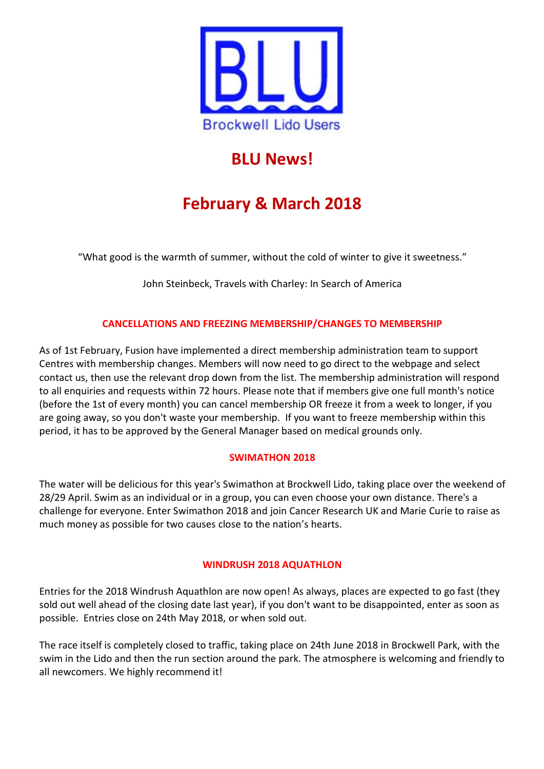

# **BLU News!**

# **February & March 2018**

"What good is the warmth of summer, without the cold of winter to give it sweetness."

John Steinbeck, Travels with Charley: In Search of America

# **CANCELLATIONS AND FREEZING MEMBERSHIP/CHANGES TO MEMBERSHIP**

As of 1st February, Fusion have implemented a direct membership administration team to support Centres with membership changes. Members will now need to go direct to the webpage and select contact us, then use the relevant drop down from the list. The membership administration will respond to all enquiries and requests within 72 hours. Please note that if members give one full month's notice (before the 1st of every month) you can cancel membership OR freeze it from a week to longer, if you are going away, so you don't waste your membership. If you want to freeze membership within this period, it has to be approved by the General Manager based on medical grounds only.

# **SWIMATHON 2018**

The water will be delicious for this year's Swimathon at Brockwell Lido, taking place over the weekend of 28/29 April. Swim as an individual or in a group, you can even choose your own distance. There's a challenge for everyone. Enter Swimathon 2018 and join Cancer Research UK and Marie Curie to raise as much money as possible for two causes close to the nation's hearts.

# **WINDRUSH 2018 AQUATHLON**

Entries for the 2018 Windrush Aquathlon are now open! As always, places are expected to go fast (they sold out well ahead of the closing date last year), if you don't want to be disappointed, enter as soon as possible. Entries close on 24th May 2018, or when sold out.

The race itself is completely closed to traffic, taking place on 24th June 2018 in Brockwell Park, with the swim in the Lido and then the run section around the park. The atmosphere is welcoming and friendly to all newcomers. We highly recommend it!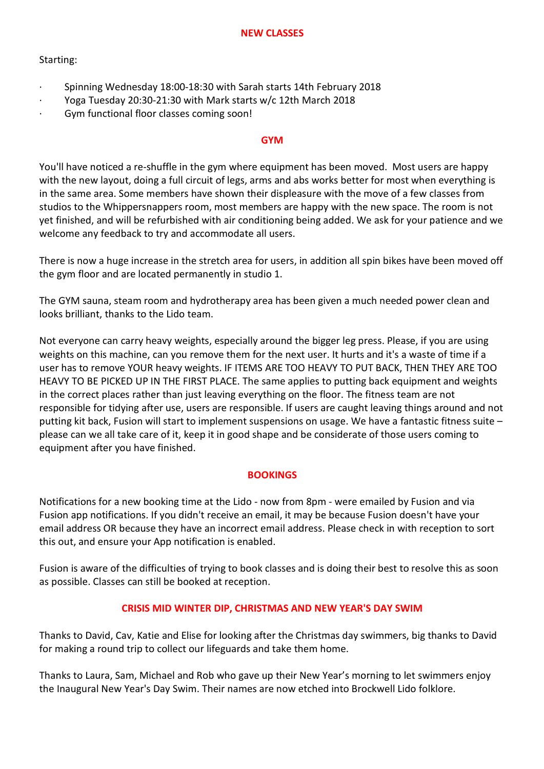# Starting:

- · Spinning Wednesday 18:00-18:30 with Sarah starts 14th February 2018
- · Yoga Tuesday 20:30-21:30 with Mark starts w/c 12th March 2018
- · Gym functional floor classes coming soon!

## **GYM**

You'll have noticed a re-shuffle in the gym where equipment has been moved. Most users are happy with the new layout, doing a full circuit of legs, arms and abs works better for most when everything is in the same area. Some members have shown their displeasure with the move of a few classes from studios to the Whippersnappers room, most members are happy with the new space. The room is not yet finished, and will be refurbished with air conditioning being added. We ask for your patience and we welcome any feedback to try and accommodate all users.

There is now a huge increase in the stretch area for users, in addition all spin bikes have been moved off the gym floor and are located permanently in studio 1.

The GYM sauna, steam room and hydrotherapy area has been given a much needed power clean and looks brilliant, thanks to the Lido team.

Not everyone can carry heavy weights, especially around the bigger leg press. Please, if you are using weights on this machine, can you remove them for the next user. It hurts and it's a waste of time if a user has to remove YOUR heavy weights. IF ITEMS ARE TOO HEAVY TO PUT BACK, THEN THEY ARE TOO HEAVY TO BE PICKED UP IN THE FIRST PLACE. The same applies to putting back equipment and weights in the correct places rather than just leaving everything on the floor. The fitness team are not responsible for tidying after use, users are responsible. If users are caught leaving things around and not putting kit back, Fusion will start to implement suspensions on usage. We have a fantastic fitness suite – please can we all take care of it, keep it in good shape and be considerate of those users coming to equipment after you have finished.

# **BOOKINGS**

Notifications for a new booking time at the Lido - now from 8pm - were emailed by Fusion and via Fusion app notifications. If you didn't receive an email, it may be because Fusion doesn't have your email address OR because they have an incorrect email address. Please check in with reception to sort this out, and ensure your App notification is enabled.

Fusion is aware of the difficulties of trying to book classes and is doing their best to resolve this as soon as possible. Classes can still be booked at reception.

# **CRISIS MID WINTER DIP, CHRISTMAS AND NEW YEAR'S DAY SWIM**

Thanks to David, Cav, Katie and Elise for looking after the Christmas day swimmers, big thanks to David for making a round trip to collect our lifeguards and take them home.

Thanks to Laura, Sam, Michael and Rob who gave up their New Year's morning to let swimmers enjoy the Inaugural New Year's Day Swim. Their names are now etched into Brockwell Lido folklore.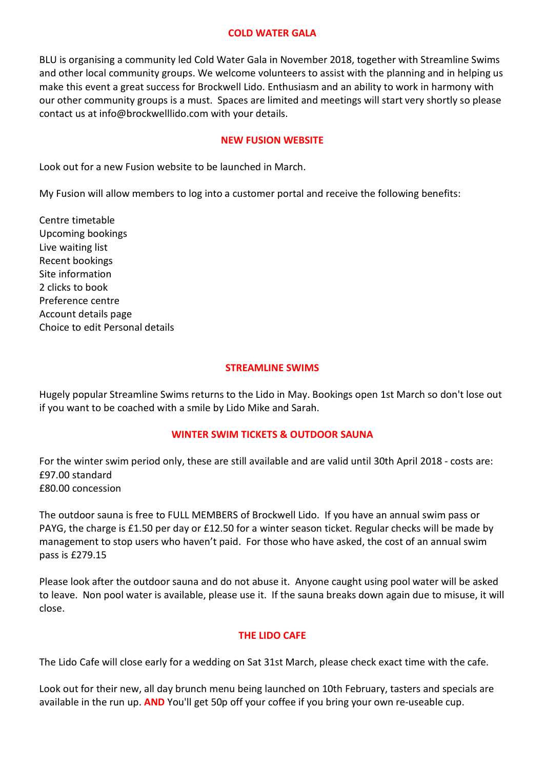#### **COLD WATER GALA**

BLU is organising a community led Cold Water Gala in November 2018, together with Streamline Swims and other local community groups. We welcome volunteers to assist with the planning and in helping us make this event a great success for Brockwell Lido. Enthusiasm and an ability to work in harmony with our other community groups is a must. Spaces are limited and meetings will start very shortly so please contact us at info@brockwelllido.com with your details.

## **NEW FUSION WEBSITE**

Look out for a new Fusion website to be launched in March.

My Fusion will allow members to log into a customer portal and receive the following benefits:

Centre timetable Upcoming bookings Live waiting list Recent bookings Site information 2 clicks to book Preference centre Account details page Choice to edit Personal details

## **STREAMLINE SWIMS**

Hugely popular Streamline Swims returns to the Lido in May. Bookings open 1st March so don't lose out if you want to be coached with a smile by Lido Mike and Sarah.

## **WINTER SWIM TICKETS & OUTDOOR SAUNA**

For the winter swim period only, these are still available and are valid until 30th April 2018 - costs are: £97.00 standard £80.00 concession

The outdoor sauna is free to FULL MEMBERS of Brockwell Lido. If you have an annual swim pass or PAYG, the charge is £1.50 per day or £12.50 for a winter season ticket. Regular checks will be made by management to stop users who haven't paid. For those who have asked, the cost of an annual swim pass is £279.15

Please look after the outdoor sauna and do not abuse it. Anyone caught using pool water will be asked to leave. Non pool water is available, please use it. If the sauna breaks down again due to misuse, it will close.

## **THE LIDO CAFE**

The Lido Cafe will close early for a wedding on Sat 31st March, please check exact time with the cafe.

Look out for their new, all day brunch menu being launched on 10th February, tasters and specials are available in the run up. **AND** You'll get 50p off your coffee if you bring your own re-useable cup.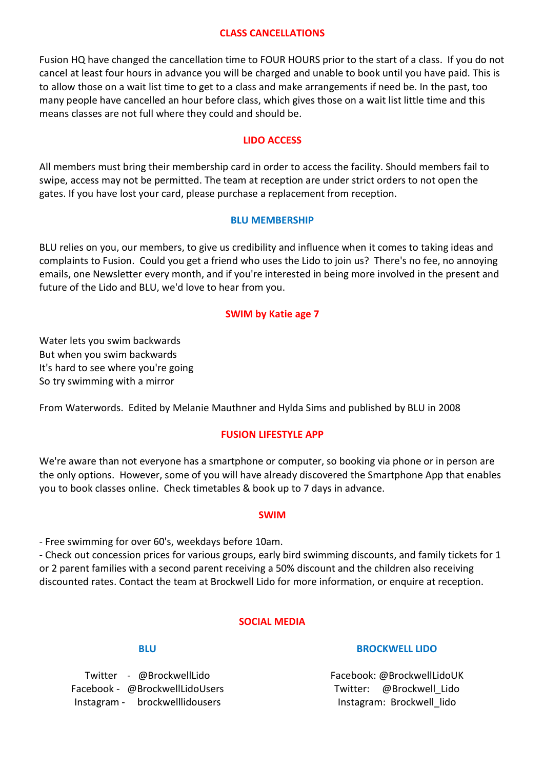#### **CLASS CANCELLATIONS**

Fusion HQ have changed the cancellation time to FOUR HOURS prior to the start of a class. If you do not cancel at least four hours in advance you will be charged and unable to book until you have paid. This is to allow those on a wait list time to get to a class and make arrangements if need be. In the past, too many people have cancelled an hour before class, which gives those on a wait list little time and this means classes are not full where they could and should be.

## **LIDO ACCESS**

All members must bring their membership card in order to access the facility. Should members fail to swipe, access may not be permitted. The team at reception are under strict orders to not open the gates. If you have lost your card, please purchase a replacement from reception.

## **BLU MEMBERSHIP**

BLU relies on you, our members, to give us credibility and influence when it comes to taking ideas and complaints to Fusion. Could you get a friend who uses the Lido to join us? There's no fee, no annoying emails, one Newsletter every month, and if you're interested in being more involved in the present and future of the Lido and BLU, we'd love to hear from you.

## **SWIM by Katie age 7**

Water lets you swim backwards But when you swim backwards It's hard to see where you're going So try swimming with a mirror

From Waterwords. Edited by Melanie Mauthner and Hylda Sims and published by BLU in 2008

## **FUSION LIFESTYLE APP**

We're aware than not everyone has a smartphone or computer, so booking via phone or in person are the only options. However, some of you will have already discovered the Smartphone App that enables you to book classes online. Check timetables & book up to 7 days in advance.

#### **SWIM**

- Free swimming for over 60's, weekdays before 10am.

- Check out concession prices for various groups, early bird swimming discounts, and family tickets for 1 or 2 parent families with a second parent receiving a 50% discount and the children also receiving discounted rates. Contact the team at Brockwell Lido for more information, or enquire at reception.

## **SOCIAL MEDIA**

## **BLU**

Twitter - @BrockwellLido Facebook - @BrockwellLidoUsers Instagram - brockwelllidousers

## **BROCKWELL LIDO**

Facebook: @BrockwellLidoUK Twitter: @Brockwell\_Lido Instagram: Brockwell\_lido